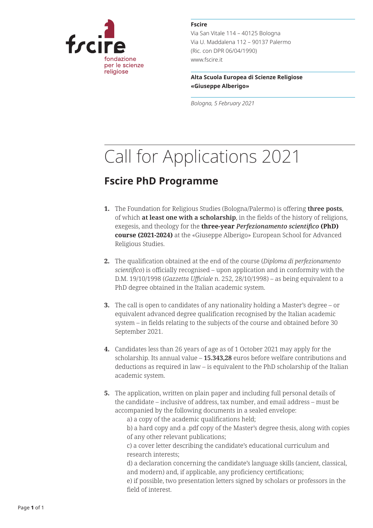

**Fscire**  Via San Vitale 114 – 40125 Bologna Via U. Maddalena 112 – 90137 Palermo (Ric. con DPR 06/04/1990) www.fscire.it

**Alta Scuola Europea di Scienze Religiose «Giuseppe Alberigo»** 

*Bologna, 5 February 2021* 

## Call for Applications 2021

## **Fscire PhD Programme**

- **1.** The Foundation for Religious Studies (Bologna/Palermo) is offering **three posts**, of which **at least one with a scholarship**, in the fields of the history of religions, exegesis, and theology for the **three-year** *Perfezionamento scientifico* **(PhD) course (2021-2024)** at the «Giuseppe Alberigo» European School for Advanced Religious Studies.
- **2.** The qualification obtained at the end of the course (*Diploma di perfezionamento scientifico*) is officially recognised – upon application and in conformity with the D.M. 19/10/1998 (*Gazzetta Ufficiale* n. 252, 28/10/1998) – as being equivalent to a PhD degree obtained in the Italian academic system.
- **3.** The call is open to candidates of any nationality holding a Master's degree or equivalent advanced degree qualification recognised by the Italian academic system – in fields relating to the subjects of the course and obtained before 30 September 2021.
- **4.** Candidates less than 26 years of age as of 1 October 2021 may apply for the scholarship. Its annual value – **15.343,28** euros before welfare contributions and deductions as required in law – is equivalent to the PhD scholarship of the Italian academic system.
- **5.** The application, written on plain paper and including full personal details of the candidate – inclusive of address, tax number, and email address – must be accompanied by the following documents in a sealed envelope:

a) a copy of the academic qualifications held;

b) a hard copy and a .pdf copy of the Master's degree thesis, along with copies of any other relevant publications;

c) a cover letter describing the candidate's educational curriculum and research interests;

d) a declaration concerning the candidate's language skills (ancient, classical, and modern) and, if applicable, any proficiency certifications;

e) if possible, two presentation letters signed by scholars or professors in the field of interest.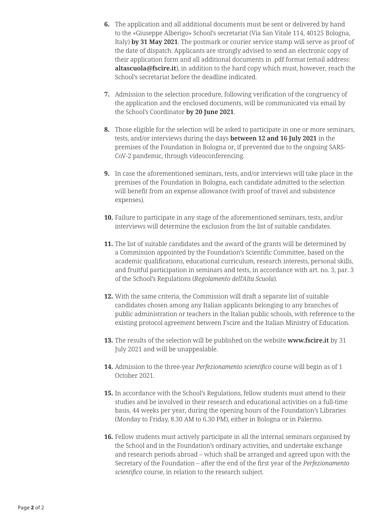- **6.** The application and all additional documents must be sent or delivered by hand to the «Giuseppe Alberigo» School's secretariat (Via San Vitale 114, 40125 Bologna, Italy) **by 31 May 2021**. The postmark or courier service stamp will serve as proof of the date of dispatch. Applicants are strongly advised to send an electronic copy of their application form and all additional documents in .pdf format (email address: **altascuola@fscire.it**), in addition to the hard copy which must, however, reach the School's secretariat before the deadline indicated.
- **7.** Admission to the selection procedure, following verification of the congruency of the application and the enclosed documents, will be communicated via email by the School's Coordinator **by 20 June 2021**.
- **8.** Those eligible for the selection will be asked to participate in one or more seminars, tests, and/or interviews during the days **between 12 and 16 July 2021** in the premises of the Foundation in Bologna or, if prevented due to the ongoing SARS-CoV-2 pandemic, through videoconferencing.
- **9.** In case the aforementioned seminars, tests, and/or interviews will take place in the premises of the Foundation in Bologna, each candidate admitted to the selection will benefit from an expense allowance (with proof of travel and subsistence expenses).
- **10.** Failure to participate in any stage of the aforementioned seminars, tests, and/or interviews will determine the exclusion from the list of suitable candidates.
- **11.** The list of suitable candidates and the award of the grants will be determined by a Commission appointed by the Foundation's Scientific Committee, based on the academic qualifications, educational curriculum, research interests, personal skills, and fruitful participation in seminars and tests, in accordance with art. no. 3, par. 3 of the School's Regulations (*Regolamento dell'Alta Scuola*).
- **12.** With the same criteria, the Commission will draft a separate list of suitable candidates chosen among any Italian applicants belonging to any branches of public administration or teachers in the Italian public schools, with reference to the existing protocol agreement between Fscire and the Italian Ministry of Education.
- **13.** The results of the selection will be published on the website **www.fscire.it** by 31 July 2021 and will be unappealable.
- **14.** Admission to the three-year *Perfezionamento scientifico* course will begin as of 1 October 2021.
- **15.** In accordance with the School's Regulations, fellow students must attend to their studies and be involved in their research and educational activities on a full-time basis, 44 weeks per year, during the opening hours of the Foundation's Libraries (Monday to Friday, 8.30 AM to 6.30 PM), either in Bologna or in Palermo.
- **16.** Fellow students must actively participate in all the internal seminars organised by the School and in the Foundation's ordinary activities, and undertake exchange and research periods abroad – which shall be arranged and agreed upon with the Secretary of the Foundation – after the end of the first year of the *Perfezionamento scientifico* course, in relation to the research subject.